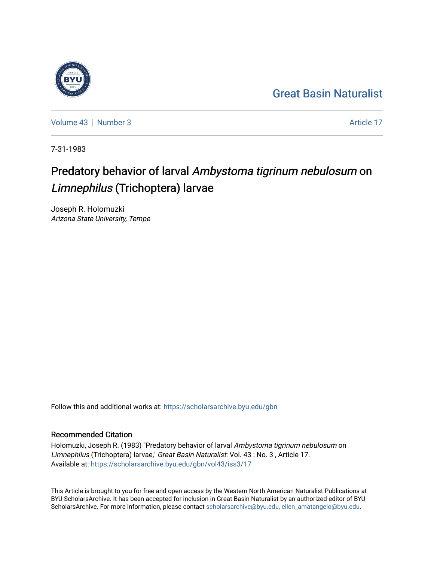## [Great Basin Naturalist](https://scholarsarchive.byu.edu/gbn)



[Volume 43](https://scholarsarchive.byu.edu/gbn/vol43) [Number 3](https://scholarsarchive.byu.edu/gbn/vol43/iss3) Article 17

7-31-1983

# Predatory behavior of larval Ambystoma tigrinum nebulosum on Limnephilus (Trichoptera) larvae

Joseph R. Holomuzki Arizona State University, Tempe

Follow this and additional works at: [https://scholarsarchive.byu.edu/gbn](https://scholarsarchive.byu.edu/gbn?utm_source=scholarsarchive.byu.edu%2Fgbn%2Fvol43%2Fiss3%2F17&utm_medium=PDF&utm_campaign=PDFCoverPages) 

## Recommended Citation

Holomuzki, Joseph R. (1983) "Predatory behavior of larval Ambystoma tigrinum nebulosum on Limnephilus (Trichoptera) larvae," Great Basin Naturalist: Vol. 43 : No. 3 , Article 17. Available at: [https://scholarsarchive.byu.edu/gbn/vol43/iss3/17](https://scholarsarchive.byu.edu/gbn/vol43/iss3/17?utm_source=scholarsarchive.byu.edu%2Fgbn%2Fvol43%2Fiss3%2F17&utm_medium=PDF&utm_campaign=PDFCoverPages) 

This Article is brought to you for free and open access by the Western North American Naturalist Publications at BYU ScholarsArchive. It has been accepted for inclusion in Great Basin Naturalist by an authorized editor of BYU ScholarsArchive. For more information, please contact [scholarsarchive@byu.edu, ellen\\_amatangelo@byu.edu.](mailto:scholarsarchive@byu.edu,%20ellen_amatangelo@byu.edu)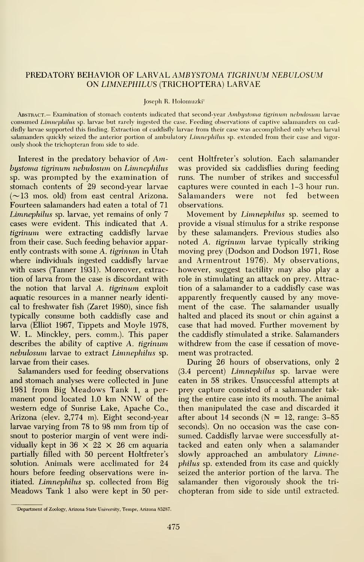## PREDATORY BEHAVIOR OF LARVAL AMBYSTOMA TIGRINUM NEBULOSUM ON LIMNEPHILUS (TRICHOPTERA) LARVAE

#### Joseph R. Holomuzki'

Abstract.— Examination of stomach contents indicated that second-year Ambystoma tigrinum nebulosum larvae consumed Linnephilus sp. larvae but rarely ingested the case. Feeding observations of captive salamanders on caddisfly larvae supported this finding. Extraction of caddisfly larvae from their case was accomplished only when larval salamanders quickly seized the anterior portion of ambulatory Limnephilus sp. extended from their case and vigorously shook the trichopteran from side to side.

Interest in the predatory behavior of Ambustoma tigrinum nebulosum on Limnephilus sp. was prompted by the examination of stomach contents of 29 second-year larvae  $(\sim]13$  mos. old) from east central Arizona. Fourteen salamanders had eaten a total of 71 Limnephilus sp. larvae, yet remains of only 7 cases were evident. This indicated that A. tigrinum were extracting caddisfly larvae from their case. Such feeding behavior apparently contrasts with some A. tigrinum in Utah where individuals ingested caddisfly larvae with cases (Tanner 1931). Moreover, extraction of larva from the case is discordant with the notion that larval A. tigrinum exploit aquatic resources in a manner nearly identical to freshwater fish (Zaret 1980), since fish typically consume both caddisfly case and larva (Elliot 1967, Tippets and Moyle 1978, W. L. Minckley, pers. comm.). This paper describes the ability of captive A. tigrinum nebulosum larvae to extract Limnephilus sp. larvae from their cases.

Salamanders used for feeding observations and stomach analyses were collected in June 1981 from Big Meadows Tank 1, <sup>a</sup> per manent pond located 1.0 km NNW of the western edge of Sunrise Lake, Apache Co., Arizona (elev. 2,774 m). Eight second-year larvae varying from <sup>78</sup> to <sup>98</sup> mm from tip of snout to posterior margin of vent were indi vidually kept in  $36 \times 22 \times 26$  cm aquaria partially filled with 50 percent Holtfreter's solution. Animals were acclimated for 24 hours before feeding observations were in itiated. Limnephilus sp. collected from Big Meadows Tank <sup>1</sup> also were kept in 50 per-

cent Holtfreter's solution. Each salamander was provided six caddisflies during feeding runs. The number of strikes and successful captures were counted in each 1-3 hour run. Salamanders were not fed between observations.

Movement by Limnephilus sp. seemed to provide a visual stimulus for a strike response by these salamanders. Previous studies also noted A. tigrinum larvae typically striking moving prey (Dodson and Dodson 1971, Rose and Armentrout 1976). My observations, however, suggest tactility may also play a role in stimulating an attack on prey. Attraction of a salamander to a caddisfly case was apparently frequently caused by any move ment of the case. The salamander usually halted and placed its snout or chin against a case that had moved. Further movement by the caddisfly stimulated a strike. Salamanders withdrew from the case if cessation of move ment was protracted.

During 26 hours of observations, only 2 (3.4 percent) Limnephilus sp. larvae were eaten in 58 strikes. Unsuccessful attempts at prey capture consisted of a salamander tak ing the entire case into its mouth. The animal then manipulated the case and discarded it after about 14 seconds  $(N = 12, \text{ range: } 3\text{-}85)$ seconds). On no occasion was the case con sumed. Caddisfly larvae were successfully at tacked and eaten only when a salamander slowly approached an ambulatory Limnephilus sp. extended from its case and quickly seized the anterior portion of the larva. The salamander then vigorously shook the tri chopteran from side to side until extracted.

<sup>&#</sup>x27;Department of Zoology, Arizona State University, Tempe, Arizona 85287.